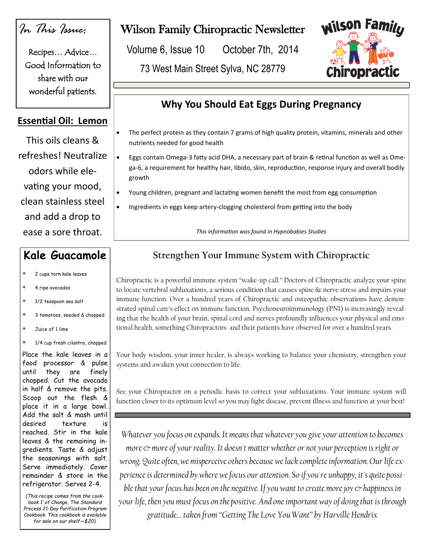## *In This Issue:*

Recipes… Advice… Good Information to share with our wonderful patients.

#### **Essential Oil: Lemon**

This oils cleans & refreshes! Neutralize odors while elevating your mood, clean stainless steel and add a drop to ease a sore throat.

### **Kale Guacamole**

- 2 cups torn kale leaves
- 4 ripe avocados
- 1/2 teaspoon sea salt
- 3 tomatoes, seeded & chopped
- Juice of 1 lime
- 1/4 cup fresh cilantro, chopped

Place the kale leaves in a food processor & pulse until they are finely chopped. Cut the avocado in half & remove the pits. Scoop out the flesh & place it in a large bowl. Add the salt & mash until desired texture is reached. Stir in the kale leaves & the remaining ingredients. Taste & adjust the seasonings with salt. Serve immediately. Cover remainder & store in the refrigerator. Serves 2-4.

*(This recipe comes from the cookbook 1' of Change, The Standard Process 21-Day Purification Program Cookbook. This cookbook is available for sale on our shelf—\$20).* 

## Wilson Family Chiropractic Newsletter

Volume 6, Issue 10 October 7th, 2014

73 West Main Street Sylva, NC 28779



## **Why You Should Eat Eggs During Pregnancy**

- The perfect protein as they contain 7 grams of high quality protein, vitamins, minerals and other nutrients needed for good health
- Eggs contain Omega-3 fatty acid DHA, a necessary part of brain & retinal function as well as Omega-6, a requirement for healthy hair, libido, skin, reproduction, response injury and overall bodily growth
- Young children, pregnant and lactating women benefit the most from egg consumption
- Ingredients in eggs keep artery-clogging cholesterol from getting into the body

*This information was found in Hypnobabies Studies*

### **Strengthen Your Immune System with Chiropractic**

Chiropractic is a powerful immune system "wake-up call." Doctors of Chiropractic analyze your spine to locate vertebral subluxations, a serious condition that causes spine & nerve stress and impairs your immune function. Over a hundred years of Chiropractic and osteopathic observations have demonstrated spinal care's effect on immune function. Psychoneuroimmunology (PNI) is increasingly revealing that the health of your brain, spinal cord and nerves profoundly influences your physical and emotional health, something Chiropractors and their patients have observed for over a hundred years.

Your body wisdom, your inner healer, is always working to balance your chemistry, strengthen your systems and awaken your connection to life.

See your Chiropractor on a periodic basis to correct your subluxations. Your immune system will function closer to its optimum level so you may fight disease, prevent illness and function at your best!

*Whatever you focus on expands. It means that whatever you give your attention to becomes more*  $\circ$  *more of your reality. It doesn't matter whether or not your perception is right or wrong. Quite often, we misperceive others because we lack complete information. Our life experience is determined by where we focus our attention. So if you're unhappy, it's quite possible that your focus has been on the negative. If you want to create more joy*  $\circ$  *happiness in your life, then you must focus on the positive. And one important way of doing that is through gratitude… taken from "Getting The Love You Want" by Harville Hendrix*